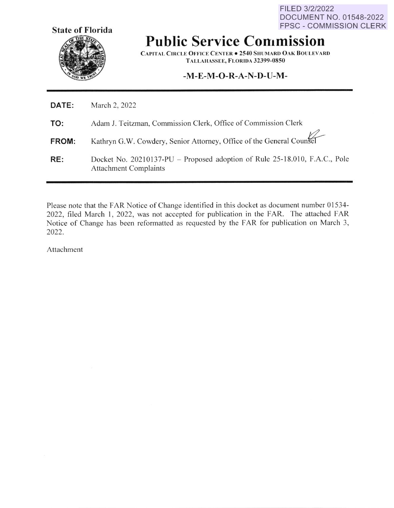FILED 3/2/2022 DOCUMENT NO. 01548-2022 FPSC - COMMISSION CLERK



**Public Service Commission** 

**CAPITAL CIRCLE OFFICE CENTER . 2540 SHUMARD OAK BOULEVARD T ALLAl-fASSEE, FLORIDA 32399-0850** 

# **-M-E-M-O-R-A-N-D-U-M-**

| <b>DATE:</b> | March 2, 2022                                                                                              |
|--------------|------------------------------------------------------------------------------------------------------------|
| TO:          | Adam J. Teitzman, Commission Clerk, Office of Commission Clerk                                             |
| <b>FROM:</b> | Kathryn G.W. Cowdery, Senior Attorney, Office of the General Counsel                                       |
| RE:          | Docket No. 20210137-PU – Proposed adoption of Rule 25-18.010, F.A.C., Pole<br><b>Attachment Complaints</b> |

Please note that the FAR Notice of Change identified in this docket as document number 01534-2022, filed March I, 2022, was not accepted for publication in the FAR. The attached FAR Notice of Change has been reformatted as requested by the FAR for publication on March 3, 2022.

Attachment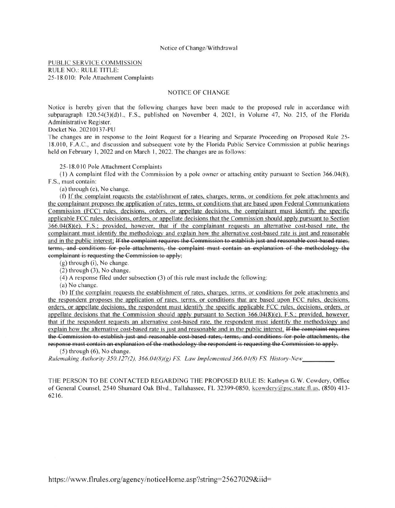#### Notice of Change/Withdrawal

PUBLIC SERVICE COMMISSION RULE NO.: RULE TITLE: 25-18.010: Pole Attachment Complaints

## NOTICE OF CHANGE

Notice is hereby given that the following changes have been made to the proposed rule in accordance with subparagraph 120.54(3)(d)1., F.S., published on November 4, 2021, in Volume 47, No. 215, of the Florida Administrative Register.

Docket No. 20210137-PU

The changes are in response to the Joint Request for a Hearing and Separate Proceeding on Proposed Rule 25- 18.0 10, F.A.C., and discussion and subsequent vote by the Florida Public Service Commission at public hearings held on February 1, 2022 and on March 1, 2022. The changes are as follows:

25-18.010 Pole Attachment Complaints

(I) A complaint filed with the Commission by a pole owner or attaching entity pursuant to Section 366.04(8), F.S., must contain:

(a) through (e), No change.

(f) If the complaint requests the establishment of rates, charges, terms, or conditions for pole attachments and the complainant proposes the application of rates, terms, or conditions that are based upon Federal Communications Commission (FCC) rules, decisions, orders, or appellate decisions, the complainant must identify the specific applicable FCC rules, decisions, orders, or appellate decisions that the Commission should apply pursuant to Section 366.04(8)(e), F.S.; provided, however, that if the complainant requests an alternative cost-based rate, the complainant must identify the methodology and explain how the alternative cost-based rate is just and reasonable and in the public interest; If the complaint requires the Commission to establish just and reasonable cost based rates, terms, and conditions for pole attachments, the complaint must contain an explanation of the methodology the complainant is requesting the Commission to apply;

(g) through (i), No change.

(2) through (3), No change.

 $(4)$  A response filed under subsection  $(3)$  of this rule must include the following:

(a) No change.

(b) If the complaint requests the establishment of rates, charges, terms, or conditions for pole attachments and the respondent proposes the application of rates, terms, or conditions that are based upon FCC rules, decisions, orders, or appellate decisions, the respondent must identify the specific applicable FCC rules, decisions, orders, or appellate decisions that the Commission should apply pursuant to Section 366.04(8)(e), F.S.; provided, however, that if the respondent requests an alternative cost-based rate, the respondent must identify the methodology and explain how the alternative cost-based rate is just and reasonable and in the public interest. If the complaint requires the Commission to establish just and reasonable cost based rates, terms, and conditions for pole attachments, the response must contain an explanation of the methodology the respondent is requesting the Commission to apply.

(5) through (6), No change.

 $Rulemaking Authority 350.127(2), 366.04(8)(g) FS. Law Implemented 366.04(8) FS. History-New$ 

THE PERSON TO BE CONTACTED REGARDING THE PROPOSED RULE IS: Kathryn G.W. Cowdery, Office of General Counsel, 2540 Shumard Oak Blvd., Tallahassee, FL 32399-0850, kcowdery@psc.state.fl.us, (850) 413- 6216.

https://www.flrules.org/agency/noticeHome.asp?string=25627029&iid=